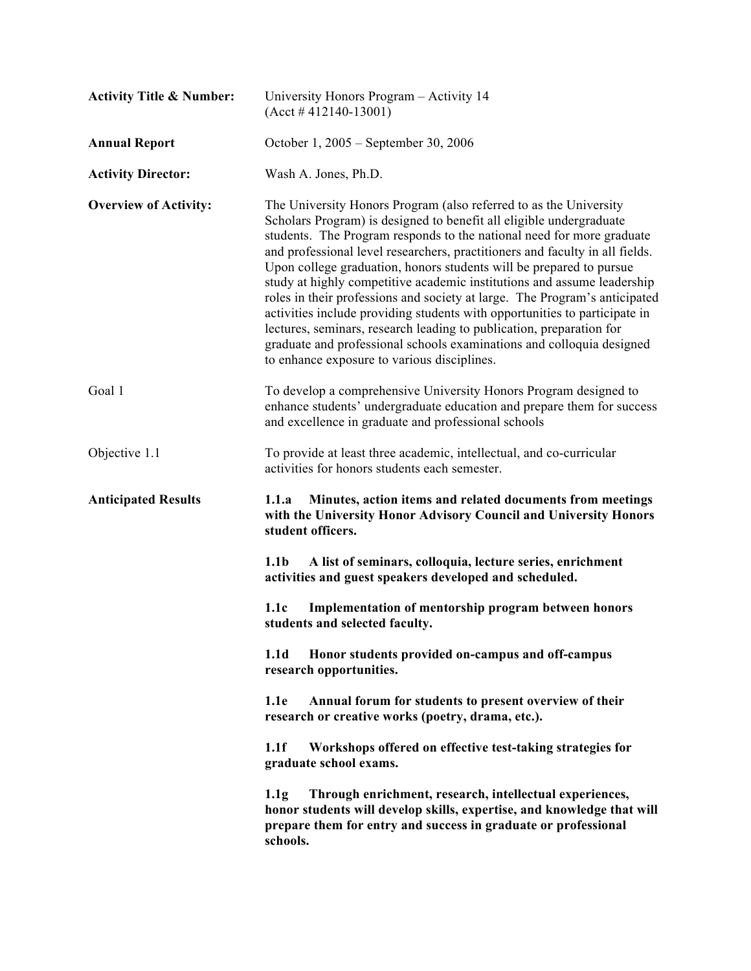| <b>Activity Title &amp; Number:</b> | University Honors Program - Activity 14<br>$(Acct # 412140-13001)$                                                                                                                                                                                                                                                                                                                                                                                                                                                                                                                                                                                                                                                                                                                                              |
|-------------------------------------|-----------------------------------------------------------------------------------------------------------------------------------------------------------------------------------------------------------------------------------------------------------------------------------------------------------------------------------------------------------------------------------------------------------------------------------------------------------------------------------------------------------------------------------------------------------------------------------------------------------------------------------------------------------------------------------------------------------------------------------------------------------------------------------------------------------------|
| <b>Annual Report</b>                | October 1, 2005 – September 30, 2006                                                                                                                                                                                                                                                                                                                                                                                                                                                                                                                                                                                                                                                                                                                                                                            |
| <b>Activity Director:</b>           | Wash A. Jones, Ph.D.                                                                                                                                                                                                                                                                                                                                                                                                                                                                                                                                                                                                                                                                                                                                                                                            |
| <b>Overview of Activity:</b>        | The University Honors Program (also referred to as the University<br>Scholars Program) is designed to benefit all eligible undergraduate<br>students. The Program responds to the national need for more graduate<br>and professional level researchers, practitioners and faculty in all fields.<br>Upon college graduation, honors students will be prepared to pursue<br>study at highly competitive academic institutions and assume leadership<br>roles in their professions and society at large. The Program's anticipated<br>activities include providing students with opportunities to participate in<br>lectures, seminars, research leading to publication, preparation for<br>graduate and professional schools examinations and colloquia designed<br>to enhance exposure to various disciplines. |
| Goal 1                              | To develop a comprehensive University Honors Program designed to<br>enhance students' undergraduate education and prepare them for success<br>and excellence in graduate and professional schools                                                                                                                                                                                                                                                                                                                                                                                                                                                                                                                                                                                                               |
| Objective 1.1                       | To provide at least three academic, intellectual, and co-curricular<br>activities for honors students each semester.                                                                                                                                                                                                                                                                                                                                                                                                                                                                                                                                                                                                                                                                                            |
| <b>Anticipated Results</b>          | Minutes, action items and related documents from meetings<br>1.1.a<br>with the University Honor Advisory Council and University Honors<br>student officers.                                                                                                                                                                                                                                                                                                                                                                                                                                                                                                                                                                                                                                                     |
|                                     | 1.1 <sub>b</sub><br>A list of seminars, colloquia, lecture series, enrichment<br>activities and guest speakers developed and scheduled.                                                                                                                                                                                                                                                                                                                                                                                                                                                                                                                                                                                                                                                                         |
|                                     | 1.1c<br>Implementation of mentorship program between honors<br>students and selected faculty.                                                                                                                                                                                                                                                                                                                                                                                                                                                                                                                                                                                                                                                                                                                   |
|                                     | 1.1 <sub>d</sub><br>Honor students provided on-campus and off-campus<br>research opportunities.                                                                                                                                                                                                                                                                                                                                                                                                                                                                                                                                                                                                                                                                                                                 |
|                                     | 1.1e<br>Annual forum for students to present overview of their<br>research or creative works (poetry, drama, etc.).                                                                                                                                                                                                                                                                                                                                                                                                                                                                                                                                                                                                                                                                                             |
|                                     | 1.1f<br>Workshops offered on effective test-taking strategies for<br>graduate school exams.                                                                                                                                                                                                                                                                                                                                                                                                                                                                                                                                                                                                                                                                                                                     |
|                                     | Through enrichment, research, intellectual experiences,<br>1.1g<br>honor students will develop skills, expertise, and knowledge that will<br>prepare them for entry and success in graduate or professional<br>schools.                                                                                                                                                                                                                                                                                                                                                                                                                                                                                                                                                                                         |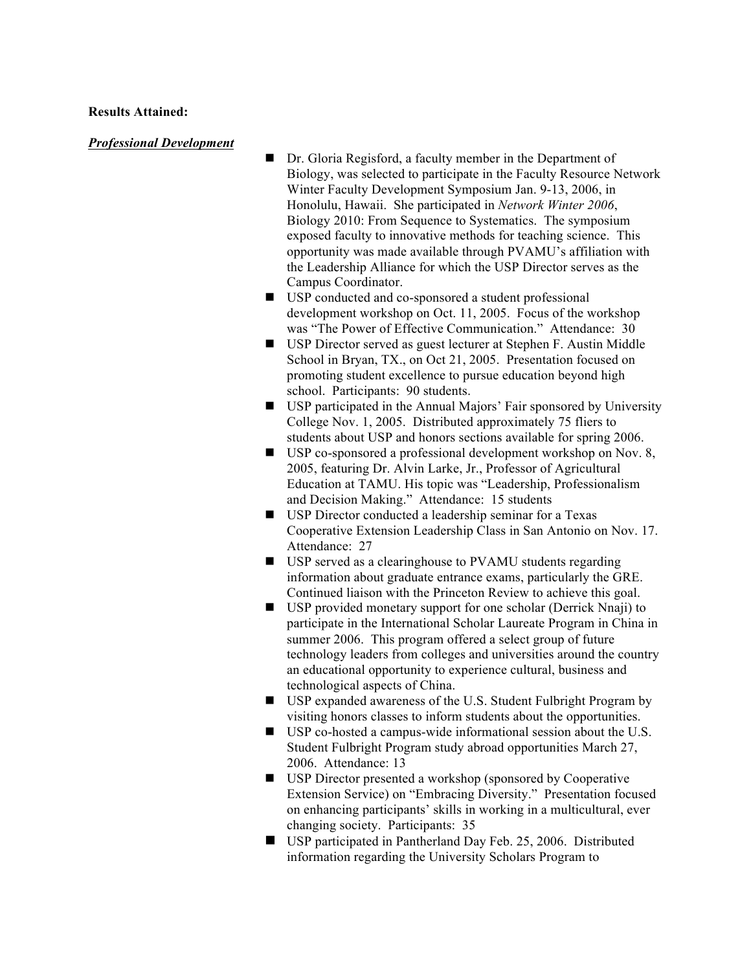#### **Results Attained:**

#### *Professional Development*

- Dr. Gloria Regisford, a faculty member in the Department of Biology, was selected to participate in the Faculty Resource Network Winter Faculty Development Symposium Jan. 9-13, 2006, in Honolulu, Hawaii. She participated in *Network Winter 2006*, Biology 2010: From Sequence to Systematics. The symposium exposed faculty to innovative methods for teaching science. This opportunity was made available through PVAMU's affiliation with the Leadership Alliance for which the USP Director serves as the Campus Coordinator.
- USP conducted and co-sponsored a student professional development workshop on Oct. 11, 2005. Focus of the workshop was "The Power of Effective Communication." Attendance: 30
- USP Director served as guest lecturer at Stephen F. Austin Middle School in Bryan, TX., on Oct 21, 2005. Presentation focused on promoting student excellence to pursue education beyond high school. Participants: 90 students.
- USP participated in the Annual Majors' Fair sponsored by University College Nov. 1, 2005. Distributed approximately 75 fliers to students about USP and honors sections available for spring 2006.
- USP co-sponsored a professional development workshop on Nov. 8, 2005, featuring Dr. Alvin Larke, Jr., Professor of Agricultural Education at TAMU. His topic was "Leadership, Professionalism and Decision Making." Attendance: 15 students
- USP Director conducted a leadership seminar for a Texas Cooperative Extension Leadership Class in San Antonio on Nov. 17. Attendance: 27
- USP served as a clearinghouse to PVAMU students regarding information about graduate entrance exams, particularly the GRE. Continued liaison with the Princeton Review to achieve this goal.
- USP provided monetary support for one scholar (Derrick Nnaji) to participate in the International Scholar Laureate Program in China in summer 2006. This program offered a select group of future technology leaders from colleges and universities around the country an educational opportunity to experience cultural, business and technological aspects of China.
- USP expanded awareness of the U.S. Student Fulbright Program by visiting honors classes to inform students about the opportunities.
- USP co-hosted a campus-wide informational session about the U.S. Student Fulbright Program study abroad opportunities March 27, 2006. Attendance: 13
- USP Director presented a workshop (sponsored by Cooperative Extension Service) on "Embracing Diversity." Presentation focused on enhancing participants' skills in working in a multicultural, ever changing society. Participants: 35
- USP participated in Pantherland Day Feb. 25, 2006. Distributed information regarding the University Scholars Program to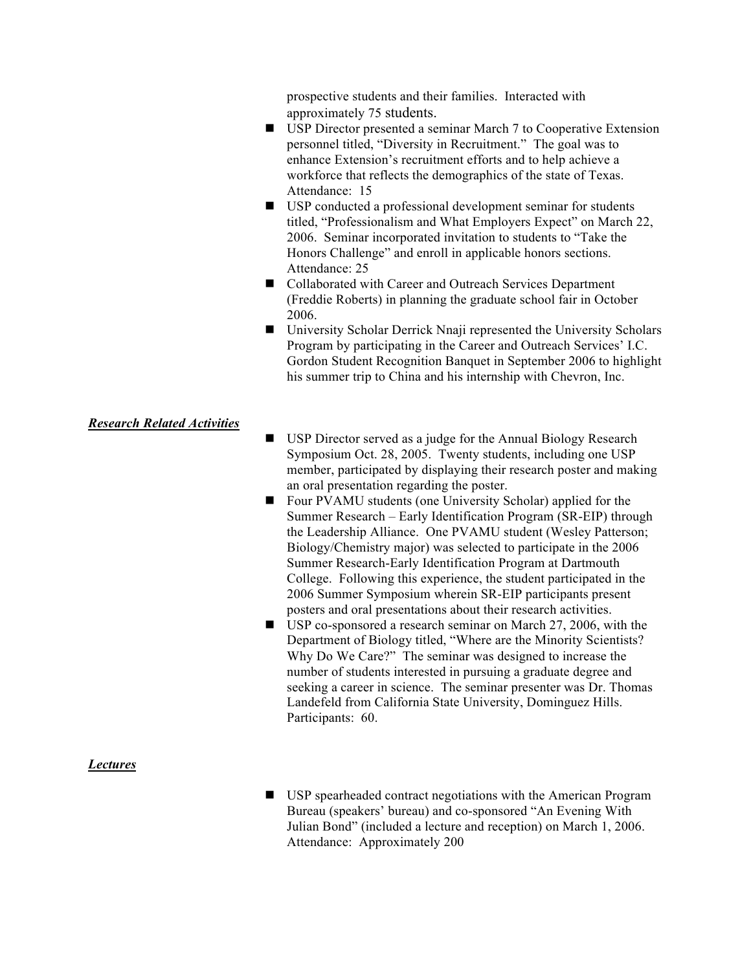prospective students and their families. Interacted with approximately 75 students.

- USP Director presented a seminar March 7 to Cooperative Extension personnel titled, "Diversity in Recruitment." The goal was to enhance Extension's recruitment efforts and to help achieve a workforce that reflects the demographics of the state of Texas. Attendance: 15
- USP conducted a professional development seminar for students titled, "Professionalism and What Employers Expect" on March 22, 2006. Seminar incorporated invitation to students to "Take the Honors Challenge" and enroll in applicable honors sections. Attendance: 25
- Collaborated with Career and Outreach Services Department (Freddie Roberts) in planning the graduate school fair in October 2006.
- University Scholar Derrick Nnaji represented the University Scholars Program by participating in the Career and Outreach Services' I.C. Gordon Student Recognition Banquet in September 2006 to highlight his summer trip to China and his internship with Chevron, Inc.

## *Research Related Activities*

- USP Director served as a judge for the Annual Biology Research Symposium Oct. 28, 2005. Twenty students, including one USP member, participated by displaying their research poster and making an oral presentation regarding the poster.
- Four PVAMU students (one University Scholar) applied for the Summer Research – Early Identification Program (SR-EIP) through the Leadership Alliance. One PVAMU student (Wesley Patterson; Biology/Chemistry major) was selected to participate in the 2006 Summer Research-Early Identification Program at Dartmouth College. Following this experience, the student participated in the 2006 Summer Symposium wherein SR-EIP participants present posters and oral presentations about their research activities.
- USP co-sponsored a research seminar on March 27, 2006, with the Department of Biology titled, "Where are the Minority Scientists? Why Do We Care?" The seminar was designed to increase the number of students interested in pursuing a graduate degree and seeking a career in science. The seminar presenter was Dr. Thomas Landefeld from California State University, Dominguez Hills. Participants: 60.

#### *Lectures*

 USP spearheaded contract negotiations with the American Program Bureau (speakers' bureau) and co-sponsored "An Evening With Julian Bond" (included a lecture and reception) on March 1, 2006. Attendance: Approximately 200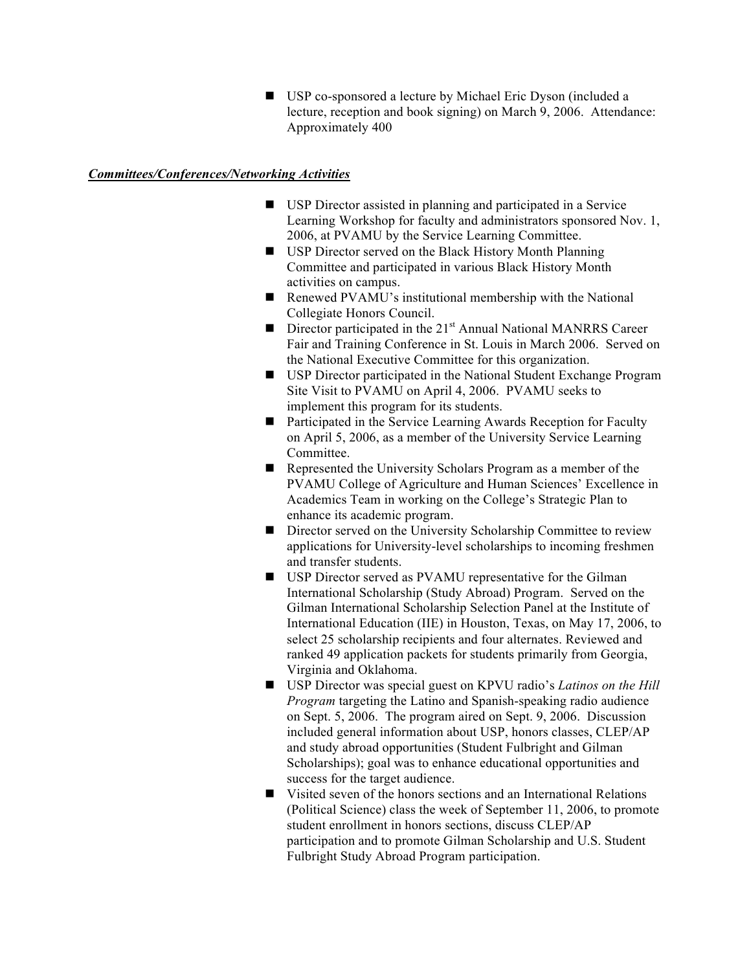■ USP co-sponsored a lecture by Michael Eric Dyson (included a lecture, reception and book signing) on March 9, 2006. Attendance: Approximately 400

### *Committees/Conferences/Networking Activities*

- USP Director assisted in planning and participated in a Service Learning Workshop for faculty and administrators sponsored Nov. 1, 2006, at PVAMU by the Service Learning Committee.
- USP Director served on the Black History Month Planning Committee and participated in various Black History Month activities on campus.
- Renewed PVAMU's institutional membership with the National Collegiate Honors Council.
- Director participated in the  $21<sup>st</sup>$  Annual National MANRRS Career Fair and Training Conference in St. Louis in March 2006. Served on the National Executive Committee for this organization.
- USP Director participated in the National Student Exchange Program Site Visit to PVAMU on April 4, 2006. PVAMU seeks to implement this program for its students.
- Participated in the Service Learning Awards Reception for Faculty on April 5, 2006, as a member of the University Service Learning Committee.
- Represented the University Scholars Program as a member of the PVAMU College of Agriculture and Human Sciences' Excellence in Academics Team in working on the College's Strategic Plan to enhance its academic program.
- Director served on the University Scholarship Committee to review applications for University-level scholarships to incoming freshmen and transfer students.
- USP Director served as PVAMU representative for the Gilman International Scholarship (Study Abroad) Program. Served on the Gilman International Scholarship Selection Panel at the Institute of International Education (IIE) in Houston, Texas, on May 17, 2006, to select 25 scholarship recipients and four alternates. Reviewed and ranked 49 application packets for students primarily from Georgia, Virginia and Oklahoma.
- USP Director was special guest on KPVU radio's *Latinos on the Hill Program* targeting the Latino and Spanish-speaking radio audience on Sept. 5, 2006. The program aired on Sept. 9, 2006. Discussion included general information about USP, honors classes, CLEP/AP and study abroad opportunities (Student Fulbright and Gilman Scholarships); goal was to enhance educational opportunities and success for the target audience.
- Visited seven of the honors sections and an International Relations (Political Science) class the week of September 11, 2006, to promote student enrollment in honors sections, discuss CLEP/AP participation and to promote Gilman Scholarship and U.S. Student Fulbright Study Abroad Program participation.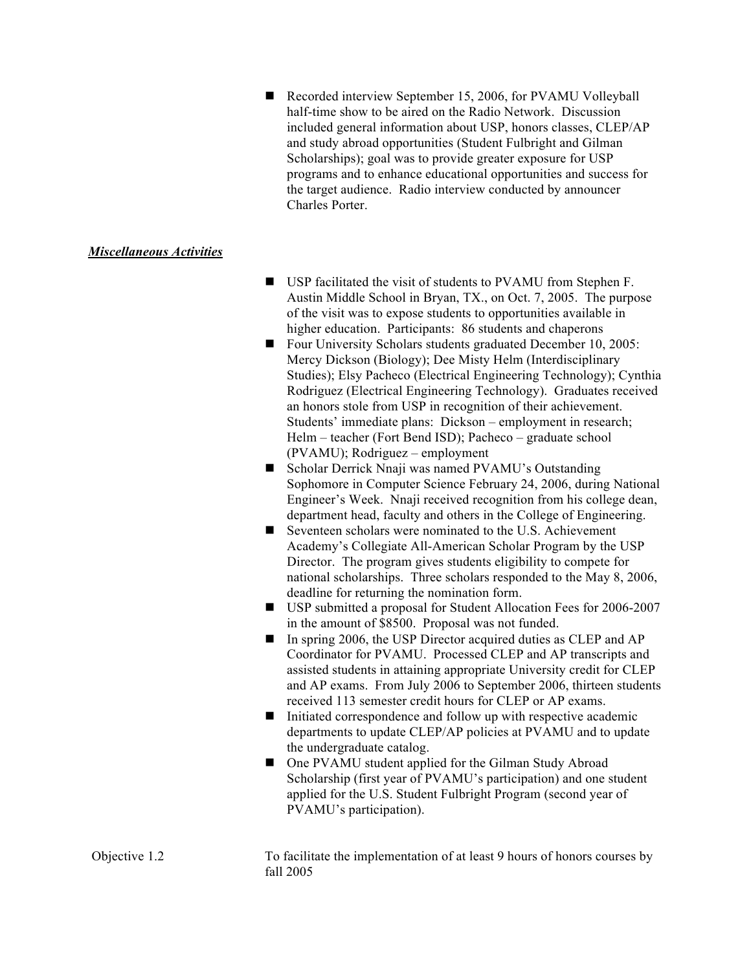Recorded interview September 15, 2006, for PVAMU Volleyball half-time show to be aired on the Radio Network. Discussion included general information about USP, honors classes, CLEP/AP and study abroad opportunities (Student Fulbright and Gilman Scholarships); goal was to provide greater exposure for USP programs and to enhance educational opportunities and success for the target audience. Radio interview conducted by announcer Charles Porter.

## *Miscellaneous Activities*

- USP facilitated the visit of students to PVAMU from Stephen F. Austin Middle School in Bryan, TX., on Oct. 7, 2005. The purpose of the visit was to expose students to opportunities available in higher education. Participants: 86 students and chaperons
- Four University Scholars students graduated December 10, 2005: Mercy Dickson (Biology); Dee Misty Helm (Interdisciplinary Studies); Elsy Pacheco (Electrical Engineering Technology); Cynthia Rodriguez (Electrical Engineering Technology). Graduates received an honors stole from USP in recognition of their achievement. Students' immediate plans: Dickson – employment in research; Helm – teacher (Fort Bend ISD); Pacheco – graduate school (PVAMU); Rodriguez – employment
- Scholar Derrick Nnaji was named PVAMU's Outstanding Sophomore in Computer Science February 24, 2006, during National Engineer's Week. Nnaji received recognition from his college dean, department head, faculty and others in the College of Engineering.
- Seventeen scholars were nominated to the U.S. Achievement Academy's Collegiate All-American Scholar Program by the USP Director. The program gives students eligibility to compete for national scholarships. Three scholars responded to the May 8, 2006, deadline for returning the nomination form.
- USP submitted a proposal for Student Allocation Fees for 2006-2007 in the amount of \$8500. Proposal was not funded.
- In spring 2006, the USP Director acquired duties as CLEP and AP Coordinator for PVAMU. Processed CLEP and AP transcripts and assisted students in attaining appropriate University credit for CLEP and AP exams. From July 2006 to September 2006, thirteen students received 113 semester credit hours for CLEP or AP exams.
- $\blacksquare$  Initiated correspondence and follow up with respective academic departments to update CLEP/AP policies at PVAMU and to update the undergraduate catalog.
- One PVAMU student applied for the Gilman Study Abroad Scholarship (first year of PVAMU's participation) and one student applied for the U.S. Student Fulbright Program (second year of PVAMU's participation).

Objective 1.2 To facilitate the implementation of at least 9 hours of honors courses by fall 2005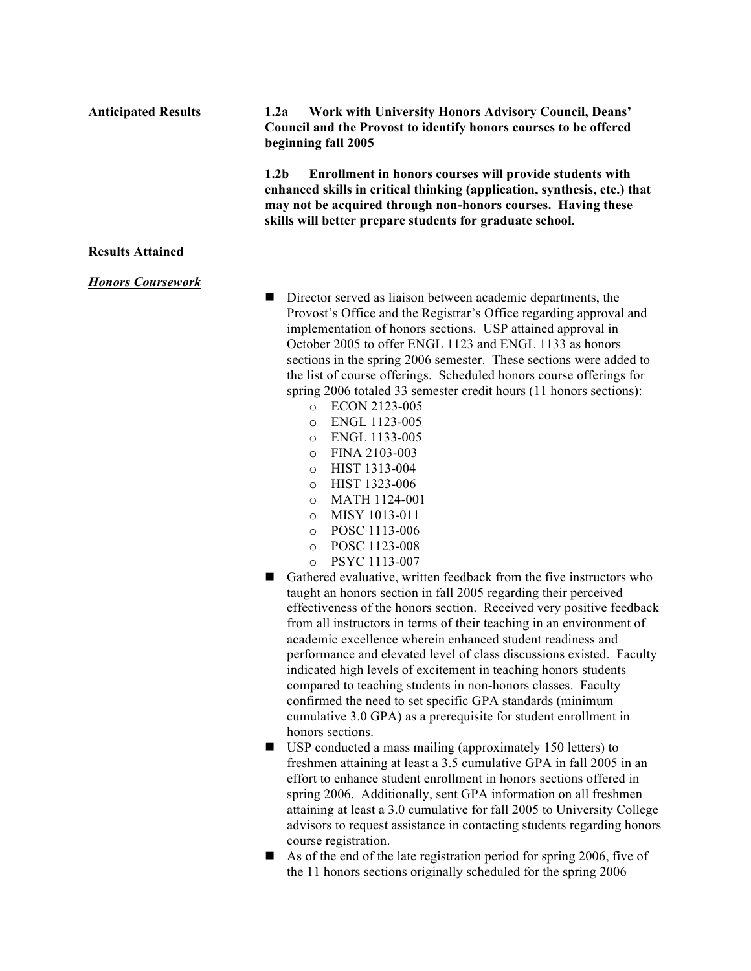| <b>Anticipated Results</b> | 1.2a<br>Work with University Honors Advisory Council, Deans'<br>Council and the Provost to identify honors courses to be offered<br>beginning fall 2005                                                                                                                                                                                                                                                                                                                                                                                                                                                                                                                                                                                                                                                                                                                                                                                                                                                                                                                                                                                                                                                                                                                                                                                                                                                                                                                                                                              |
|----------------------------|--------------------------------------------------------------------------------------------------------------------------------------------------------------------------------------------------------------------------------------------------------------------------------------------------------------------------------------------------------------------------------------------------------------------------------------------------------------------------------------------------------------------------------------------------------------------------------------------------------------------------------------------------------------------------------------------------------------------------------------------------------------------------------------------------------------------------------------------------------------------------------------------------------------------------------------------------------------------------------------------------------------------------------------------------------------------------------------------------------------------------------------------------------------------------------------------------------------------------------------------------------------------------------------------------------------------------------------------------------------------------------------------------------------------------------------------------------------------------------------------------------------------------------------|
|                            | 1.2 <sub>b</sub><br>Enrollment in honors courses will provide students with<br>enhanced skills in critical thinking (application, synthesis, etc.) that<br>may not be acquired through non-honors courses. Having these<br>skills will better prepare students for graduate school.                                                                                                                                                                                                                                                                                                                                                                                                                                                                                                                                                                                                                                                                                                                                                                                                                                                                                                                                                                                                                                                                                                                                                                                                                                                  |
| <b>Results Attained</b>    |                                                                                                                                                                                                                                                                                                                                                                                                                                                                                                                                                                                                                                                                                                                                                                                                                                                                                                                                                                                                                                                                                                                                                                                                                                                                                                                                                                                                                                                                                                                                      |
| <b>Honors Coursework</b>   | Director served as liaison between academic departments, the<br>п<br>Provost's Office and the Registrar's Office regarding approval and<br>implementation of honors sections. USP attained approval in<br>October 2005 to offer ENGL 1123 and ENGL 1133 as honors<br>sections in the spring 2006 semester. These sections were added to<br>the list of course offerings. Scheduled honors course offerings for<br>spring 2006 totaled 33 semester credit hours (11 honors sections):<br>ECON 2123-005<br>$\circ$<br>ENGL 1123-005<br>$\circ$<br>ENGL 1133-005<br>$\circ$<br>FINA 2103-003<br>$\circ$<br>HIST 1313-004<br>$\circ$<br>HIST 1323-006<br>$\circ$<br>MATH 1124-001<br>$\circ$<br>MISY 1013-011<br>$\circ$<br>POSC 1113-006<br>$\circ$<br>POSC 1123-008<br>$\circ$<br>PSYC 1113-007<br>$\circ$<br>Gathered evaluative, written feedback from the five instructors who<br>ш<br>taught an honors section in fall 2005 regarding their perceived<br>effectiveness of the honors section. Received very positive feedback<br>from all instructors in terms of their teaching in an environment of<br>academic excellence wherein enhanced student readiness and<br>performance and elevated level of class discussions existed. Faculty<br>indicated high levels of excitement in teaching honors students<br>compared to teaching students in non-honors classes. Faculty<br>confirmed the need to set specific GPA standards (minimum<br>cumulative 3.0 GPA) as a prerequisite for student enrollment in<br>honors sections. |

 USP conducted a mass mailing (approximately 150 letters) to freshmen attaining at least a 3.5 cumulative GPA in fall 2005 in an effort to enhance student enrollment in honors sections offered in spring 2006. Additionally, sent GPA information on all freshmen attaining at least a 3.0 cumulative for fall 2005 to University College advisors to request assistance in contacting students regarding honors course registration.

As of the end of the late registration period for spring 2006, five of the 11 honors sections originally scheduled for the spring 2006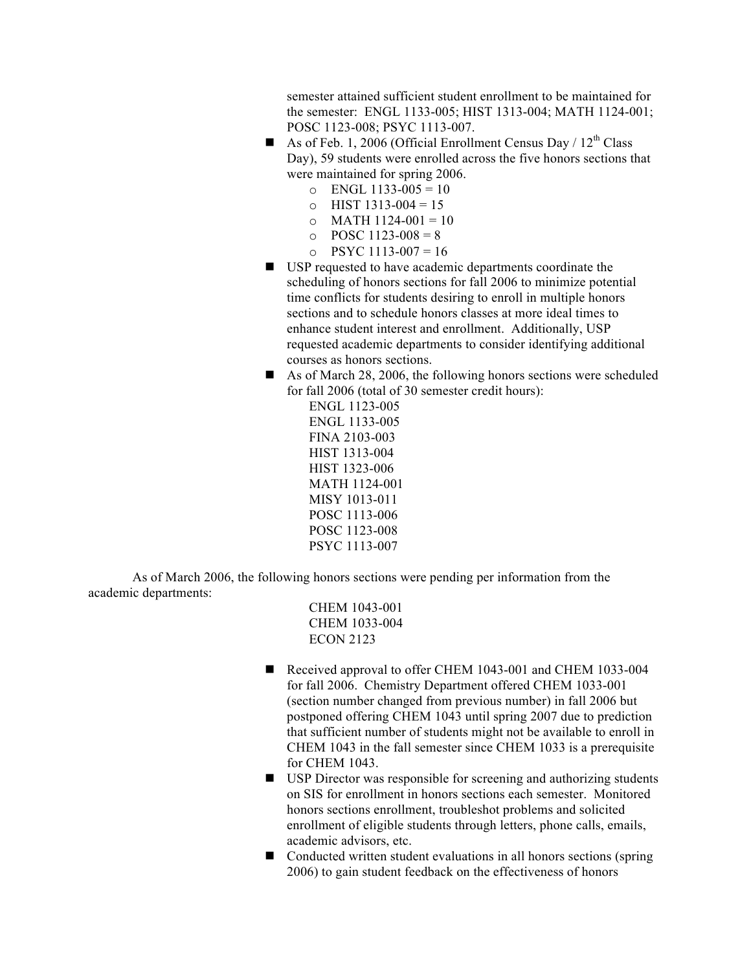semester attained sufficient student enrollment to be maintained for the semester: ENGL 1133-005; HIST 1313-004; MATH 1124-001; POSC 1123-008; PSYC 1113-007.

- As of Feb. 1, 2006 (Official Enrollment Census Day /  $12^{th}$  Class Day), 59 students were enrolled across the five honors sections that were maintained for spring 2006.
	- $O$  ENGL 1133-005 = 10
	- $\circ$  HIST 1313-004 = 15
	- $\circ$  MATH 1124-001 = 10
	- $\degree$  POSC 1123-008 = 8
	- $\degree$  PSYC 1113-007 = 16
- USP requested to have academic departments coordinate the scheduling of honors sections for fall 2006 to minimize potential time conflicts for students desiring to enroll in multiple honors sections and to schedule honors classes at more ideal times to enhance student interest and enrollment. Additionally, USP requested academic departments to consider identifying additional courses as honors sections.
- As of March 28, 2006, the following honors sections were scheduled for fall 2006 (total of 30 semester credit hours):

ENGL 1123-005 ENGL 1133-005 FINA 2103-003 HIST 1313-004 HIST 1323-006 MATH 1124-001 MISY 1013-011 POSC 1113-006 POSC 1123-008 PSYC 1113-007

As of March 2006, the following honors sections were pending per information from the academic departments:

> CHEM 1043-001 CHEM 1033-004 ECON 2123

- Received approval to offer CHEM 1043-001 and CHEM 1033-004 for fall 2006. Chemistry Department offered CHEM 1033-001 (section number changed from previous number) in fall 2006 but postponed offering CHEM 1043 until spring 2007 due to prediction that sufficient number of students might not be available to enroll in CHEM 1043 in the fall semester since CHEM 1033 is a prerequisite for CHEM 1043.
- USP Director was responsible for screening and authorizing students on SIS for enrollment in honors sections each semester. Monitored honors sections enrollment, troubleshot problems and solicited enrollment of eligible students through letters, phone calls, emails, academic advisors, etc.
- Conducted written student evaluations in all honors sections (spring 2006) to gain student feedback on the effectiveness of honors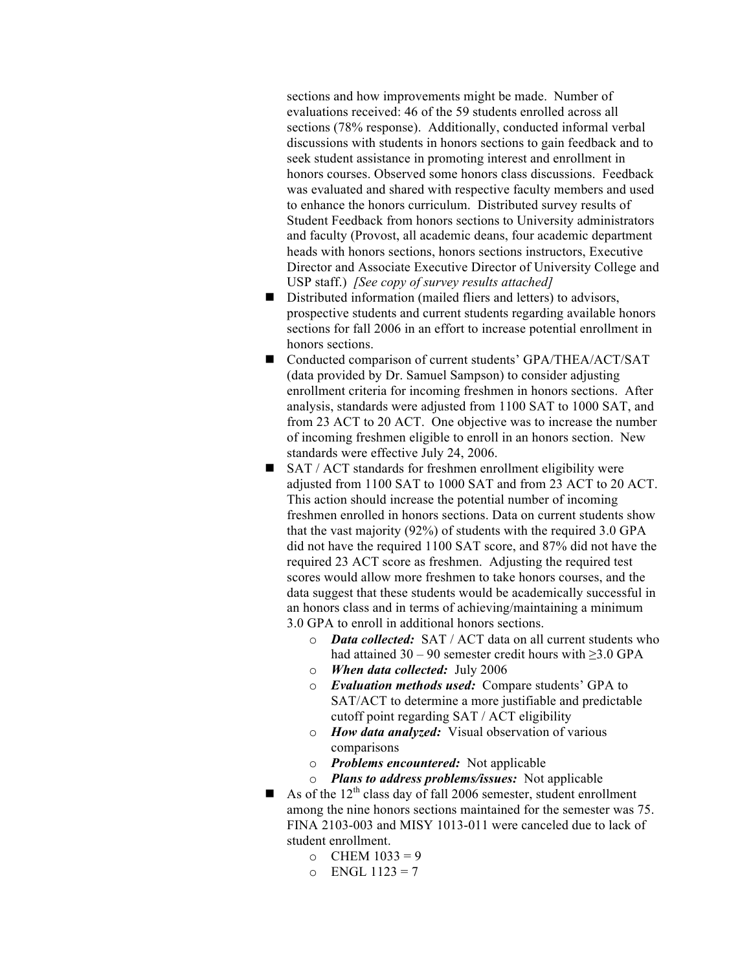sections and how improvements might be made. Number of evaluations received: 46 of the 59 students enrolled across all sections (78% response). Additionally, conducted informal verbal discussions with students in honors sections to gain feedback and to seek student assistance in promoting interest and enrollment in honors courses. Observed some honors class discussions. Feedback was evaluated and shared with respective faculty members and used to enhance the honors curriculum. Distributed survey results of Student Feedback from honors sections to University administrators and faculty (Provost, all academic deans, four academic department heads with honors sections, honors sections instructors, Executive Director and Associate Executive Director of University College and USP staff.) *[See copy of survey results attached]*

- Distributed information (mailed fliers and letters) to advisors, prospective students and current students regarding available honors sections for fall 2006 in an effort to increase potential enrollment in honors sections.
- Conducted comparison of current students' GPA/THEA/ACT/SAT (data provided by Dr. Samuel Sampson) to consider adjusting enrollment criteria for incoming freshmen in honors sections. After analysis, standards were adjusted from 1100 SAT to 1000 SAT, and from 23 ACT to 20 ACT. One objective was to increase the number of incoming freshmen eligible to enroll in an honors section. New standards were effective July 24, 2006.
- SAT / ACT standards for freshmen enrollment eligibility were adjusted from 1100 SAT to 1000 SAT and from 23 ACT to 20 ACT. This action should increase the potential number of incoming freshmen enrolled in honors sections. Data on current students show that the vast majority (92%) of students with the required 3.0 GPA did not have the required 1100 SAT score, and 87% did not have the required 23 ACT score as freshmen. Adjusting the required test scores would allow more freshmen to take honors courses, and the data suggest that these students would be academically successful in an honors class and in terms of achieving/maintaining a minimum 3.0 GPA to enroll in additional honors sections.
	- o *Data collected:* SAT / ACT data on all current students who had attained  $30 - 90$  semester credit hours with  $\geq 3.0$  GPA
	- o *When data collected:* July 2006
	- o *Evaluation methods used:* Compare students' GPA to SAT/ACT to determine a more justifiable and predictable cutoff point regarding SAT / ACT eligibility
	- o *How data analyzed:* Visual observation of various comparisons
	- o *Problems encountered:* Not applicable
	- o *Plans to address problems/issues:* Not applicable
- As of the  $12<sup>th</sup>$  class day of fall 2006 semester, student enrollment among the nine honors sections maintained for the semester was 75. FINA 2103-003 and MISY 1013-011 were canceled due to lack of student enrollment.
	- $O$  CHEM  $1033 = 9$
	- $O$  ENGL 1123 = 7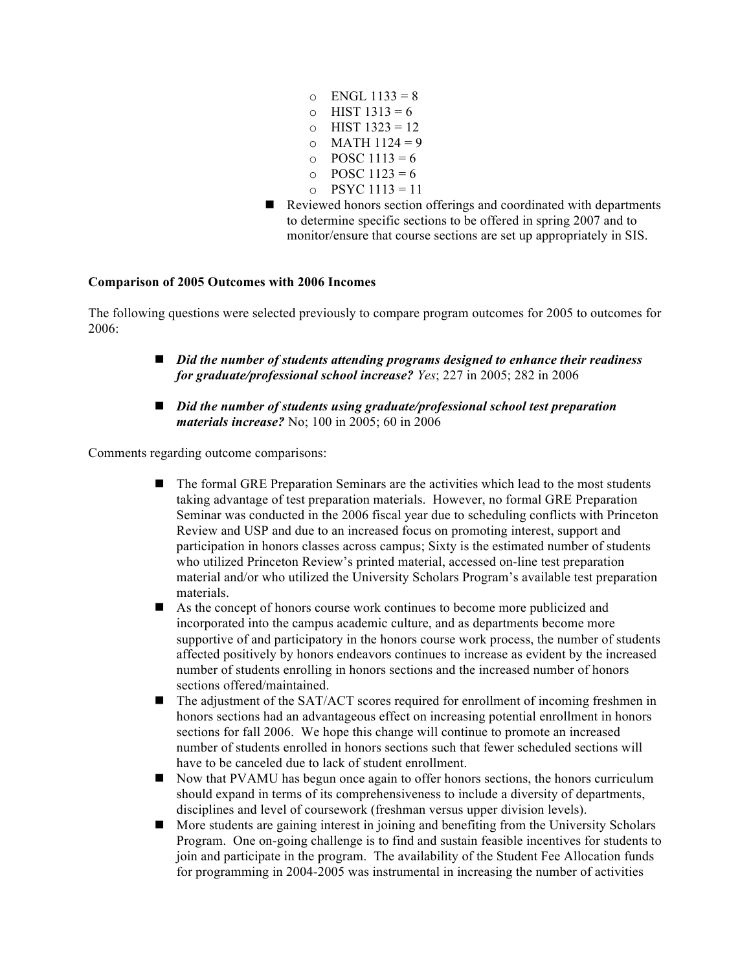- $O$  ENGL 1133 = 8 o HIST  $1313 = 6$
- $\circ$  HIST 1323 = 12
- $O$  MATH  $1124 = 9$
- $\circ$  POSC 1113 = 6
- $\circ$  POSC 1123 = 6
- $O$  PSYC 1113 = 11
- Reviewed honors section offerings and coordinated with departments to determine specific sections to be offered in spring 2007 and to monitor/ensure that course sections are set up appropriately in SIS.

# **Comparison of 2005 Outcomes with 2006 Incomes**

The following questions were selected previously to compare program outcomes for 2005 to outcomes for 2006:

- *Did the number of students attending programs designed to enhance their readiness for graduate/professional school increase? Yes*; 227 in 2005; 282 in 2006
- *Did the number of students using graduate/professional school test preparation materials increase?* No; 100 in 2005; 60 in 2006

Comments regarding outcome comparisons:

- The formal GRE Preparation Seminars are the activities which lead to the most students taking advantage of test preparation materials. However, no formal GRE Preparation Seminar was conducted in the 2006 fiscal year due to scheduling conflicts with Princeton Review and USP and due to an increased focus on promoting interest, support and participation in honors classes across campus; Sixty is the estimated number of students who utilized Princeton Review's printed material, accessed on-line test preparation material and/or who utilized the University Scholars Program's available test preparation materials.
- As the concept of honors course work continues to become more publicized and incorporated into the campus academic culture, and as departments become more supportive of and participatory in the honors course work process, the number of students affected positively by honors endeavors continues to increase as evident by the increased number of students enrolling in honors sections and the increased number of honors sections offered/maintained.
- The adjustment of the SAT/ACT scores required for enrollment of incoming freshmen in honors sections had an advantageous effect on increasing potential enrollment in honors sections for fall 2006. We hope this change will continue to promote an increased number of students enrolled in honors sections such that fewer scheduled sections will have to be canceled due to lack of student enrollment.
- Now that PVAMU has begun once again to offer honors sections, the honors curriculum should expand in terms of its comprehensiveness to include a diversity of departments, disciplines and level of coursework (freshman versus upper division levels).
- More students are gaining interest in joining and benefiting from the University Scholars Program. One on-going challenge is to find and sustain feasible incentives for students to join and participate in the program. The availability of the Student Fee Allocation funds for programming in 2004-2005 was instrumental in increasing the number of activities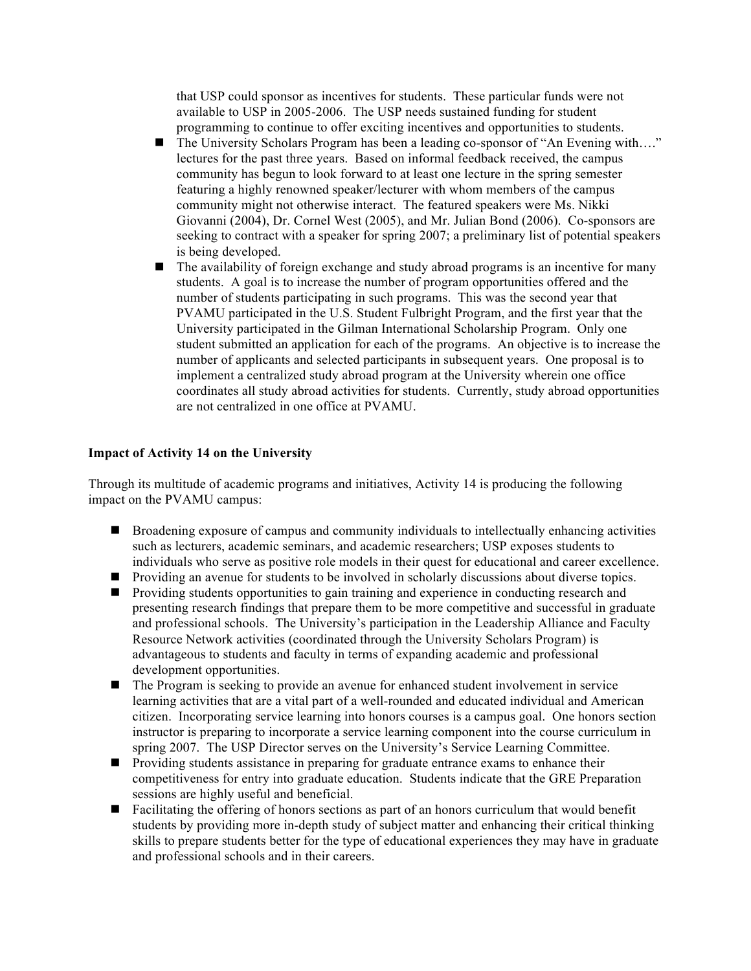that USP could sponsor as incentives for students. These particular funds were not available to USP in 2005-2006. The USP needs sustained funding for student programming to continue to offer exciting incentives and opportunities to students.

- The University Scholars Program has been a leading co-sponsor of "An Evening with...." lectures for the past three years. Based on informal feedback received, the campus community has begun to look forward to at least one lecture in the spring semester featuring a highly renowned speaker/lecturer with whom members of the campus community might not otherwise interact. The featured speakers were Ms. Nikki Giovanni (2004), Dr. Cornel West (2005), and Mr. Julian Bond (2006). Co-sponsors are seeking to contract with a speaker for spring 2007; a preliminary list of potential speakers is being developed.
- The availability of foreign exchange and study abroad programs is an incentive for many students. A goal is to increase the number of program opportunities offered and the number of students participating in such programs. This was the second year that PVAMU participated in the U.S. Student Fulbright Program, and the first year that the University participated in the Gilman International Scholarship Program. Only one student submitted an application for each of the programs. An objective is to increase the number of applicants and selected participants in subsequent years. One proposal is to implement a centralized study abroad program at the University wherein one office coordinates all study abroad activities for students. Currently, study abroad opportunities are not centralized in one office at PVAMU.

#### **Impact of Activity 14 on the University**

Through its multitude of academic programs and initiatives, Activity 14 is producing the following impact on the PVAMU campus:

- Broadening exposure of campus and community individuals to intellectually enhancing activities such as lecturers, academic seminars, and academic researchers; USP exposes students to individuals who serve as positive role models in their quest for educational and career excellence.
- **Providing an avenue for students to be involved in scholarly discussions about diverse topics.**
- **Providing students opportunities to gain training and experience in conducting research and** presenting research findings that prepare them to be more competitive and successful in graduate and professional schools. The University's participation in the Leadership Alliance and Faculty Resource Network activities (coordinated through the University Scholars Program) is advantageous to students and faculty in terms of expanding academic and professional development opportunities.
- The Program is seeking to provide an avenue for enhanced student involvement in service learning activities that are a vital part of a well-rounded and educated individual and American citizen. Incorporating service learning into honors courses is a campus goal. One honors section instructor is preparing to incorporate a service learning component into the course curriculum in spring 2007. The USP Director serves on the University's Service Learning Committee.
- **Providing students assistance in preparing for graduate entrance exams to enhance their** competitiveness for entry into graduate education. Students indicate that the GRE Preparation sessions are highly useful and beneficial.
- Facilitating the offering of honors sections as part of an honors curriculum that would benefit students by providing more in-depth study of subject matter and enhancing their critical thinking skills to prepare students better for the type of educational experiences they may have in graduate and professional schools and in their careers.